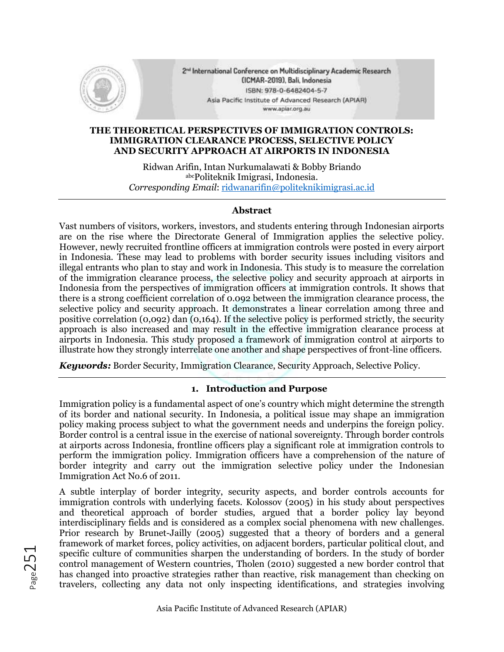

2<sup>nd</sup> International Conference on Multidisciplinary Academic Research (ICMAR-2019), Bali, Indonesia ISBN: 978-0-6482404-5-7 Asia Pacific Institute of Advanced Research (APIAR) www.apiar.org.au

#### **THE THEORETICAL PERSPECTIVES OF IMMIGRATION CONTROLS: IMMIGRATION CLEARANCE PROCESS, SELECTIVE POLICY AND SECURITY APPROACH AT AIRPORTS IN INDONESIA**

Ridwan Arifin, Intan Nurkumalawati & Bobby Briando abcPoliteknik Imigrasi, Indonesia. *Corresponding Email*: [ridwanarifin@politeknikimigrasi.ac.id](mailto:ridwanarifin@politeknikimigrasi.ac.id)

## **Abstract**

Vast numbers of visitors, workers, investors, and students entering through Indonesian airports are on the rise where the Directorate General of Immigration applies the selective policy. However, newly recruited frontline officers at immigration controls were posted in every airport in Indonesia. These may lead to problems with border security issues including visitors and illegal entrants who plan to stay and work in Indonesia. This study is to measure the correlation of the immigration clearance process, the selective policy and security approach at airports in Indonesia from the perspectives of immigration officers at immigration controls. It shows that there is a strong coefficient correlation of 0.092 between the immigration clearance process, the selective policy and security approach. It demonstrates a linear correlation among three and positive correlation (0,092) dan (0,164). If the selective policy is performed strictly, the security approach is also increased and may result in the effective immigration clearance process at airports in Indonesia. This study proposed a framework of immigration control at airports to illustrate how they strongly interrelate one another and shape perspectives of front-line officers.

*Keywords:* Border Security, Immigration Clearance, Security Approach, Selective Policy.

## **1. Introduction and Purpose**

Immigration policy is a fundamental aspect of one's country which might determine the strength of its border and national security. In Indonesia, a political issue may shape an immigration policy making process subject to what the government needs and underpins the foreign policy. Border control is a central issue in the exercise of national sovereignty. Through border controls at airports across Indonesia, frontline officers play a significant role at immigration controls to perform the immigration policy. Immigration officers have a comprehension of the nature of border integrity and carry out the immigration selective policy under the Indonesian Immigration Act No.6 of 2011.

A subtle interplay of border integrity, security aspects, and border controls accounts for immigration controls with underlying facets. Kolossov (2005) in his study about perspectives and theoretical approach of border studies, argued that a border policy lay beyond interdisciplinary fields and is considered as a complex social phenomena with new challenges. Prior research by Brunet-Jailly (2005) suggested that a theory of borders and a general framework of market forces, policy activities, on adjacent borders, particular political clout, and specific culture of communities sharpen the understanding of borders. In the study of border control management of Western countries, Tholen (2010) suggested a new border control that has changed into proactive strategies rather than reactive, risk management than checking on travelers, collecting any data not only inspecting identifications, and strategies involving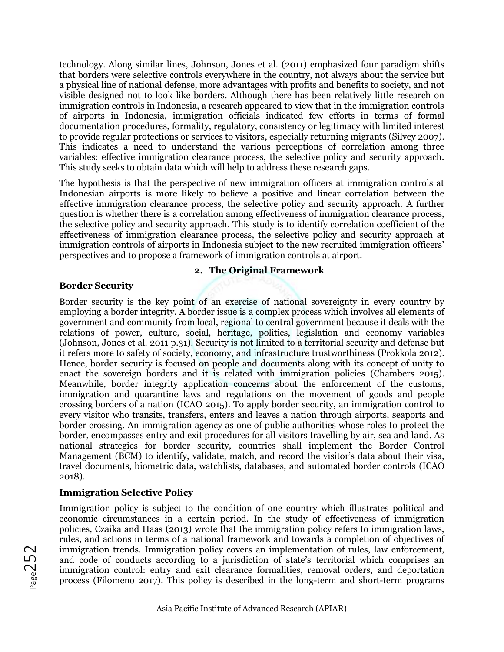technology. Along similar lines, Johnson, Jones et al. (2011) emphasized four paradigm shifts that borders were selective controls everywhere in the country, not always about the service but a physical line of national defense, more advantages with profits and benefits to society, and not visible designed not to look like borders. Although there has been relatively little research on immigration controls in Indonesia, a research appeared to view that in the immigration controls of airports in Indonesia, immigration officials indicated few efforts in terms of formal documentation procedures, formality, regulatory, consistency or legitimacy with limited interest to provide regular protections or services to visitors, especially returning migrants (Silvey 2007). This indicates a need to understand the various perceptions of correlation among three variables: effective immigration clearance process, the selective policy and security approach. This study seeks to obtain data which will help to address these research gaps.

The hypothesis is that the perspective of new immigration officers at immigration controls at Indonesian airports is more likely to believe a positive and linear correlation between the effective immigration clearance process, the selective policy and security approach. A further question is whether there is a correlation among effectiveness of immigration clearance process, the selective policy and security approach. This study is to identify correlation coefficient of the effectiveness of immigration clearance process, the selective policy and security approach at immigration controls of airports in Indonesia subject to the new recruited immigration officers' perspectives and to propose a framework of immigration controls at airport.

#### **2. The Original Framework**

## **Border Security**

Border security is the key point of an exercise of national sovereignty in every country by employing a border integrity. A border issue is a complex process which involves all elements of government and community from local, regional to central government because it deals with the relations of power, culture, social, heritage, politics, legislation and economy variables (Johnson, Jones et al. 2011 p.31). Security is not limited to a territorial security and defense but it refers more to safety of society, economy, and infrastructure trustworthiness (Prokkola 2012). Hence, border security is focused on people and documents along with its concept of unity to enact the sovereign borders and it is related with immigration policies (Chambers 2015). Meanwhile, border integrity application concerns about the enforcement of the customs, immigration and quarantine laws and regulations on the movement of goods and people crossing borders of a nation (ICAO 2015). To apply border security, an immigration control to every visitor who transits, transfers, enters and leaves a nation through airports, seaports and border crossing. An immigration agency as one of public authorities whose roles to protect the border, encompasses entry and exit procedures for all visitors travelling by air, sea and land. As national strategies for border security, countries shall implement the Border Control Management (BCM) to identify, validate, match, and record the visitor's data about their visa, travel documents, biometric data, watchlists, databases, and automated border controls (ICAO 2018).

# **Immigration Selective Policy**

Immigration policy is subject to the condition of one country which illustrates political and economic circumstances in a certain period. In the study of effectiveness of immigration policies, Czaika and Haas (2013) wrote that the immigration policy refers to immigration laws, rules, and actions in terms of a national framework and towards a completion of objectives of immigration trends. Immigration policy covers an implementation of rules, law enforcement, and code of conducts according to a jurisdiction of state's territorial which comprises an immigration control: entry and exit clearance formalities, removal orders, and deportation process (Filomeno 2017). This policy is described in the long-term and short-term programs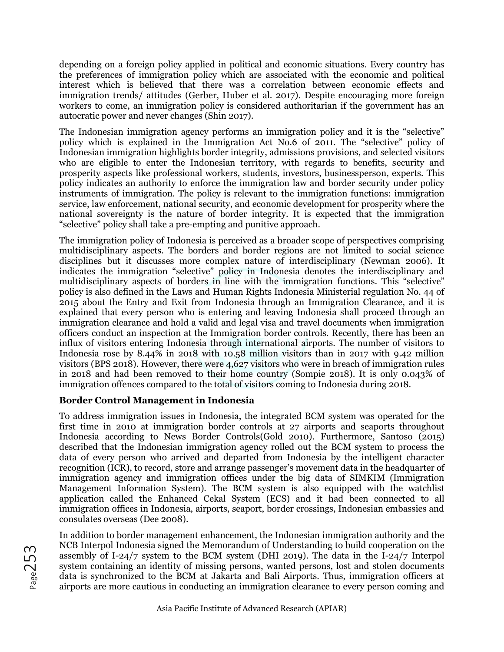depending on a foreign policy applied in political and economic situations. Every country has the preferences of immigration policy which are associated with the economic and political interest which is believed that there was a correlation between economic effects and immigration trends/ attitudes (Gerber, Huber et al. 2017). Despite encouraging more foreign workers to come, an immigration policy is considered authoritarian if the government has an autocratic power and never changes (Shin 2017).

The Indonesian immigration agency performs an immigration policy and it is the "selective" policy which is explained in the Immigration Act No.6 of 2011. The "selective" policy of Indonesian immigration highlights border integrity, admissions provisions, and selected visitors who are eligible to enter the Indonesian territory, with regards to benefits, security and prosperity aspects like professional workers, students, investors, businessperson, experts. This policy indicates an authority to enforce the immigration law and border security under policy instruments of immigration. The policy is relevant to the immigration functions: immigration service, law enforcement, national security, and economic development for prosperity where the national sovereignty is the nature of border integrity. It is expected that the immigration "selective" policy shall take a pre-empting and punitive approach.

The immigration policy of Indonesia is perceived as a broader scope of perspectives comprising multidisciplinary aspects. The borders and border regions are not limited to social science disciplines but it discusses more complex nature of interdisciplinary (Newman 2006). It indicates the immigration "selective" policy in Indonesia denotes the interdisciplinary and multidisciplinary aspects of borders in line with the immigration functions. This "selective" policy is also defined in the Laws and Human Rights Indonesia Ministerial regulation No. 44 of 2015 about the Entry and Exit from Indonesia through an Immigration Clearance, and it is explained that every person who is entering and leaving Indonesia shall proceed through an immigration clearance and hold a valid and legal visa and travel documents when immigration officers conduct an inspection at the Immigration border controls. Recently, there has been an influx of visitors entering Indonesia through international airports. The number of visitors to Indonesia rose by 8.44% in 2018 with 10.58 million visitors than in 2017 with 9.42 million visitors (BPS 2018). However, there were 4,627 visitors who were in breach of immigration rules in 2018 and had been removed to their home country (Sompie 2018). It is only 0.043% of immigration offences compared to the total of visitors coming to Indonesia during 2018.

# **Border Control Management in Indonesia**

To address immigration issues in Indonesia, the integrated BCM system was operated for the first time in 2010 at immigration border controls at 27 airports and seaports throughout Indonesia according to News Border Controls(Gold 2010). Furthermore, Santoso (2015) described that the Indonesian immigration agency rolled out the BCM system to process the data of every person who arrived and departed from Indonesia by the intelligent character recognition (ICR), to record, store and arrange passenger's movement data in the headquarter of immigration agency and immigration offices under the big data of SIMKIM (Immigration Management Information System). The BCM system is also equipped with the watchlist application called the Enhanced Cekal System (ECS) and it had been connected to all immigration offices in Indonesia, airports, seaport, border crossings, Indonesian embassies and consulates overseas (Dee 2008).

In addition to border management enhancement, the Indonesian immigration authority and the NCB Interpol Indonesia signed the Memorandum of Understanding to build cooperation on the assembly of I-24/7 system to the BCM system (DHI 2019). The data in the I-24/7 Interpol system containing an identity of missing persons, wanted persons, lost and stolen documents data is synchronized to the BCM at Jakarta and Bali Airports. Thus, immigration officers at airports are more cautious in conducting an immigration clearance to every person coming and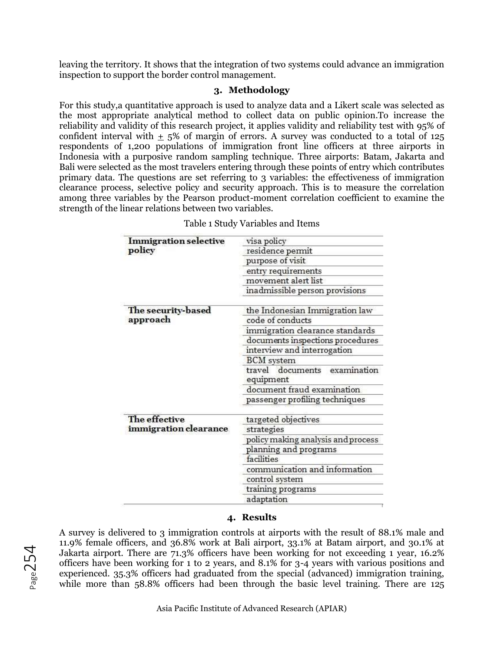leaving the territory. It shows that the integration of two systems could advance an immigration inspection to support the border control management.

## **3. Methodology**

For this study,a quantitative approach is used to analyze data and a Likert scale was selected as the most appropriate analytical method to collect data on public opinion.To increase the reliability and validity of this research project, it applies validity and reliability test with 95% of confident interval with  $\pm$  5% of margin of errors. A survey was conducted to a total of 125 respondents of 1,200 populations of immigration front line officers at three airports in Indonesia with a purposive random sampling technique. Three airports: Batam, Jakarta and Bali were selected as the most travelers entering through these points of entry which contributes primary data. The questions are set referring to 3 variables: the effectiveness of immigration clearance process, selective policy and security approach. This is to measure the correlation among three variables by the Pearson product-moment correlation coefficient to examine the strength of the linear relations between two variables.

| <b>Immigration selective</b> | visa policy                                     |  |  |
|------------------------------|-------------------------------------------------|--|--|
| policy                       | residence permit                                |  |  |
|                              | purpose of visit                                |  |  |
|                              | entry requirements                              |  |  |
|                              | movement alert list                             |  |  |
|                              | inadmissible person provisions                  |  |  |
| The security-based           | the Indonesian Immigration law                  |  |  |
| approach                     | code of conducts                                |  |  |
|                              | immigration clearance standards                 |  |  |
|                              | documents inspections procedures                |  |  |
|                              | interview and interrogation                     |  |  |
|                              | <b>BCM</b> system                               |  |  |
|                              | travel<br>documents<br>examination<br>equipment |  |  |
|                              | document fraud examination                      |  |  |
|                              | passenger profiling techniques                  |  |  |
| The effective                | targeted objectives                             |  |  |
| immigration clearance        | strategies                                      |  |  |
|                              | policy making analysis and process              |  |  |
|                              | planning and programs                           |  |  |
|                              | facilities                                      |  |  |
|                              | communication and information                   |  |  |
|                              | control system                                  |  |  |
|                              | training programs                               |  |  |
|                              | adaptation                                      |  |  |

Table 1 Study Variables and Items

## **4. Results**

A survey is delivered to 3 immigration controls at airports with the result of 88.1% male and 11.9% female officers, and 36.8% work at Bali airport, 33.1% at Batam airport, and 30.1% at Jakarta airport. There are 71.3% officers have been working for not exceeding 1 year, 16.2% officers have been working for 1 to 2 years, and 8.1% for 3-4 years with various positions and experienced. 35.3% officers had graduated from the special (advanced) immigration training, while more than 58.8% officers had been through the basic level training. There are 125

Page254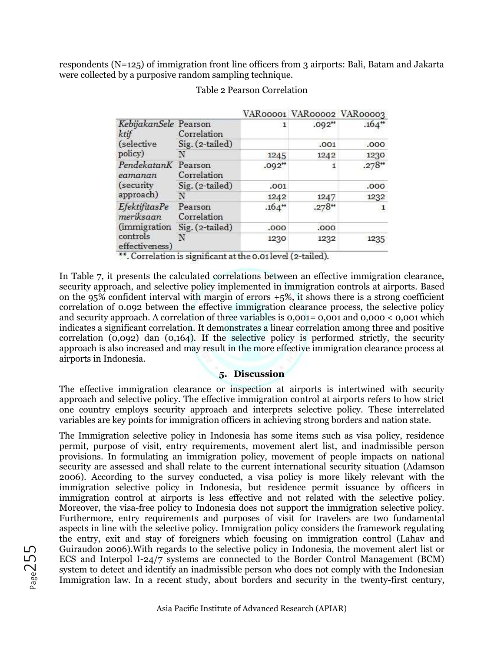respondents (N=125) of immigration front line officers from 3 airports: Bali, Batam and Jakarta were collected by a purposive random sampling technique.

|                                                                          |                        |                      |                      | VAR00001 VAR00002 VAR00003 |
|--------------------------------------------------------------------------|------------------------|----------------------|----------------------|----------------------------|
| KebijakanSele Pearson<br>ktif<br>(selective<br>policy)                   | Correlation            | 1                    | $.092$ <sup>**</sup> | $.164$ <sup>**</sup>       |
|                                                                          | Sig. (2-tailed)        |                      | .001                 | .000                       |
|                                                                          | N                      | 1245                 | 1242                 | 1230                       |
| PendekatanK Pearson<br>eamanan<br>(security)<br>approach)                | Correlation            | $.092$ <sup>++</sup> | 1                    | $.278**$                   |
|                                                                          | Sig. (2-tailed)        | .001                 |                      | .000                       |
|                                                                          | N                      | 1242                 | 1247                 | 1232                       |
| EfektifitasPe<br>meriksaan<br>(immigration<br>controls<br>effectiveness) | Pearson<br>Correlation | $.164$ <sup>**</sup> | $.278 +$             | 1                          |
|                                                                          | Sig. (2-tailed)        | .000                 | .000                 |                            |
|                                                                          | N                      | 1230                 | 1232                 | 1235                       |

## Table 2 Pearson Correlation

\*\*. Correlation is significant at the 0.01 level (2-tailed).

In Table 7, it presents the calculated correlations between an effective immigration clearance, security approach, and selective policy implemented in immigration controls at airports. Based on the  $95\%$  confident interval with margin of errors  $+5\%$ , it shows there is a strong coefficient correlation of 0.092 between the effective immigration clearance process, the selective policy and security approach. A correlation of three variables is 0,001= 0,001 and 0,000 < 0,001 which indicates a significant correlation. It demonstrates a linear correlation among three and positive correlation (0,092) dan (0,164). If the selective policy is performed strictly, the security approach is also increased and may result in the more effective immigration clearance process at airports in Indonesia.

## **5. Discussion**

The effective immigration clearance or inspection at airports is intertwined with security approach and selective policy. The effective immigration control at airports refers to how strict one country employs security approach and interprets selective policy. These interrelated variables are key points for immigration officers in achieving strong borders and nation state.

The Immigration selective policy in Indonesia has some items such as visa policy, residence permit, purpose of visit, entry requirements, movement alert list, and inadmissible person provisions. In formulating an immigration policy, movement of people impacts on national security are assessed and shall relate to the current international security situation (Adamson 2006). According to the survey conducted, a visa policy is more likely relevant with the immigration selective policy in Indonesia, but residence permit issuance by officers in immigration control at airports is less effective and not related with the selective policy. Moreover, the visa-free policy to Indonesia does not support the immigration selective policy. Furthermore, entry requirements and purposes of visit for travelers are two fundamental aspects in line with the selective policy. Immigration policy considers the framework regulating the entry, exit and stay of foreigners which focusing on immigration control (Lahav and Guiraudon 2006).With regards to the selective policy in Indonesia, the movement alert list or ECS and Interpol I-24/7 systems are connected to the Border Control Management (BCM) system to detect and identify an inadmissible person who does not comply with the Indonesian Immigration law. In a recent study, about borders and security in the twenty-first century,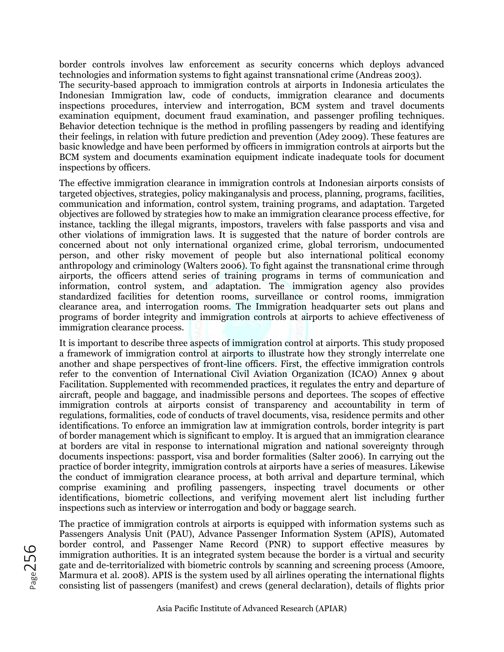border controls involves law enforcement as security concerns which deploys advanced technologies and information systems to fight against transnational crime (Andreas 2003). The security-based approach to immigration controls at airports in Indonesia articulates the Indonesian Immigration law, code of conducts, immigration clearance and documents inspections procedures, interview and interrogation, BCM system and travel documents examination equipment, document fraud examination, and passenger profiling techniques. Behavior detection technique is the method in profiling passengers by reading and identifying their feelings, in relation with future prediction and prevention (Adey 2009). These features are basic knowledge and have been performed by officers in immigration controls at airports but the BCM system and documents examination equipment indicate inadequate tools for document inspections by officers.

The effective immigration clearance in immigration controls at Indonesian airports consists of targeted objectives, strategies, policy makinganalysis and process, planning, programs, facilities, communication and information, control system, training programs, and adaptation. Targeted objectives are followed by strategies how to make an immigration clearance process effective, for instance, tackling the illegal migrants, impostors, travelers with false passports and visa and other violations of immigration laws. It is suggested that the nature of border controls are concerned about not only international organized crime, global terrorism, undocumented person, and other risky movement of people but also international political economy anthropology and criminology (Walters 2006). To fight against the transnational crime through airports, the officers attend series of training programs in terms of communication and information, control system, and adaptation. The immigration agency also provides standardized facilities for detention rooms, surveillance or control rooms, immigration clearance area, and interrogation rooms. The Immigration headquarter sets out plans and programs of border integrity and immigration controls at airports to achieve effectiveness of immigration clearance process.

It is important to describe three aspects of immigration control at airports. This study proposed a framework of immigration control at airports to illustrate how they strongly interrelate one another and shape perspectives of front-line officers. First, the effective immigration controls refer to the convention of International Civil Aviation Organization (ICAO) Annex 9 about Facilitation. Supplemented with recommended practices, it regulates the entry and departure of aircraft, people and baggage, and inadmissible persons and deportees. The scopes of effective immigration controls at airports consist of transparency and accountability in term of regulations, formalities, code of conducts of travel documents, visa, residence permits and other identifications. To enforce an immigration law at immigration controls, border integrity is part of border management which is significant to employ. It is argued that an immigration clearance at borders are vital in response to international migration and national sovereignty through documents inspections: passport, visa and border formalities (Salter 2006). In carrying out the practice of border integrity, immigration controls at airports have a series of measures. Likewise the conduct of immigration clearance process, at both arrival and departure terminal, which comprise examining and profiling passengers, inspecting travel documents or other identifications, biometric collections, and verifying movement alert list including further inspections such as interview or interrogation and body or baggage search.

The practice of immigration controls at airports is equipped with information systems such as Passengers Analysis Unit (PAU), Advance Passenger Information System (APIS), Automated border control, and Passenger Name Record (PNR) to support effective measures by immigration authorities. It is an integrated system because the border is a virtual and security gate and de-territorialized with biometric controls by scanning and screening process (Amoore, Marmura et al. 2008). APIS is the system used by all airlines operating the international flights consisting list of passengers (manifest) and crews (general declaration), details of flights prior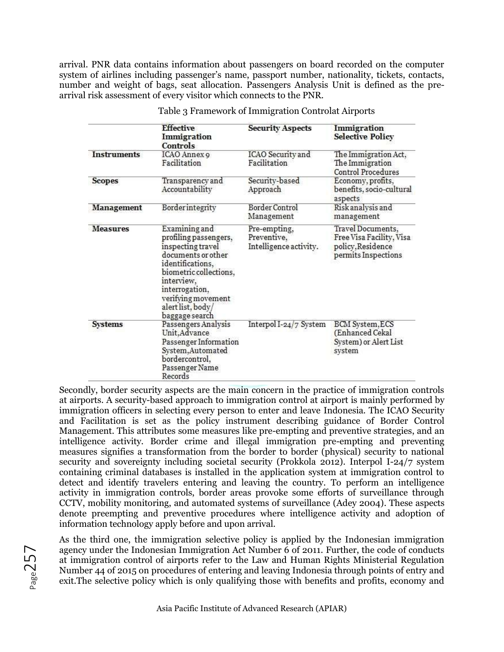arrival. PNR data contains information about passengers on board recorded on the computer system of airlines including passenger's name, passport number, nationality, tickets, contacts, number and weight of bags, seat allocation. Passengers Analysis Unit is defined as the prearrival risk assessment of every visitor which connects to the PNR.

|                    | <b>Effective</b><br>Immigration<br>Controls                                                                                                                                                                                  | <b>Security Aspects</b>                               | Immigration<br><b>Selective Policy</b>                                                    |
|--------------------|------------------------------------------------------------------------------------------------------------------------------------------------------------------------------------------------------------------------------|-------------------------------------------------------|-------------------------------------------------------------------------------------------|
| <b>Instruments</b> | ICAO Annex 9<br>Facilitation                                                                                                                                                                                                 | ICAO Security and<br><b>Facilitation</b>              | The Immigration Act,<br>The Immigration<br><b>Control Procedures</b>                      |
| <b>Scopes</b>      | Transparency and<br>Accountability                                                                                                                                                                                           | Security-based<br>Approach                            | Economy, profits,<br>benefits, socio-cultural<br>aspects                                  |
| Management         | Borderintegrity                                                                                                                                                                                                              | Border Control<br>Management                          | Risk analysis and<br>management                                                           |
| <b>Measures</b>    | Examining and<br>profiling passengers,<br>inspecting travel<br>documents or other<br>identifications,<br>biometric collections,<br>interview,<br>interrogation,<br>verifying movement<br>alert list, body/<br>baggage search | Pre-empting,<br>Preventive,<br>Intelligence activity. | Travel Documents,<br>Free Visa Facility, Visa<br>policy, Residence<br>permits Inspections |
| <b>Systems</b>     | Passengers Analysis<br>Unit, Advance<br>Passenger Information<br>System, Automated<br>bordercontrol,<br>Passenger Name<br>Records                                                                                            | Interpol I-24/7 System                                | <b>BCM</b> System, ECS<br>(Enhanced Cekal<br>System) or Alert List<br>system              |

Table 3 Framework of Immigration Controlat Airports

Secondly, border security aspects are the main concern in the practice of immigration controls at airports. A security-based approach to immigration control at airport is mainly performed by immigration officers in selecting every person to enter and leave Indonesia. The ICAO Security and Facilitation is set as the policy instrument describing guidance of Border Control Management. This attributes some measures like pre-empting and preventive strategies, and an intelligence activity. Border crime and illegal immigration pre-empting and preventing measures signifies a transformation from the border to border (physical) security to national security and sovereignty including societal security (Prokkola 2012). Interpol I-24/7 system containing criminal databases is installed in the application system at immigration control to detect and identify travelers entering and leaving the country. To perform an intelligence activity in immigration controls, border areas provoke some efforts of surveillance through CCTV, mobility monitoring, and automated systems of surveillance (Adey 2004). These aspects denote preempting and preventive procedures where intelligence activity and adoption of information technology apply before and upon arrival.

As the third one, the immigration selective policy is applied by the Indonesian immigration agency under the Indonesian Immigration Act Number 6 of 2011. Further, the code of conducts at immigration control of airports refer to the Law and Human Rights Ministerial Regulation Number 44 of 2015 on procedures of entering and leaving Indonesia through points of entry and exit.The selective policy which is only qualifying those with benefits and profits, economy and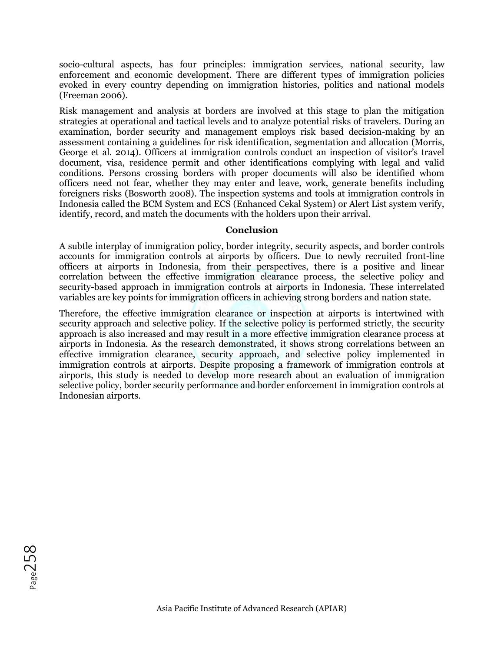socio-cultural aspects, has four principles: immigration services, national security, law enforcement and economic development. There are different types of immigration policies evoked in every country depending on immigration histories, politics and national models (Freeman 2006).

Risk management and analysis at borders are involved at this stage to plan the mitigation strategies at operational and tactical levels and to analyze potential risks of travelers. During an examination, border security and management employs risk based decision-making by an assessment containing a guidelines for risk identification, segmentation and allocation (Morris, George et al. 2014). Officers at immigration controls conduct an inspection of visitor's travel document, visa, residence permit and other identifications complying with legal and valid conditions. Persons crossing borders with proper documents will also be identified whom officers need not fear, whether they may enter and leave, work, generate benefits including foreigners risks (Bosworth 2008). The inspection systems and tools at immigration controls in Indonesia called the BCM System and ECS (Enhanced Cekal System) or Alert List system verify, identify, record, and match the documents with the holders upon their arrival.

#### **Conclusion**

A subtle interplay of immigration policy, border integrity, security aspects, and border controls accounts for immigration controls at airports by officers. Due to newly recruited front-line officers at airports in Indonesia, from their perspectives, there is a positive and linear correlation between the effective immigration clearance process, the selective policy and security-based approach in immigration controls at airports in Indonesia. These interrelated variables are key points for immigration officers in achieving strong borders and nation state.

Therefore, the effective immigration clearance or inspection at airports is intertwined with security approach and selective policy. If the selective policy is performed strictly, the security approach is also increased and may result in a more effective immigration clearance process at airports in Indonesia. As the research demonstrated, it shows strong correlations between an effective immigration clearance, security approach, and selective policy implemented in immigration controls at airports. Despite proposing a framework of immigration controls at airports, this study is needed to develop more research about an evaluation of immigration selective policy, border security performance and border enforcement in immigration controls at Indonesian airports.

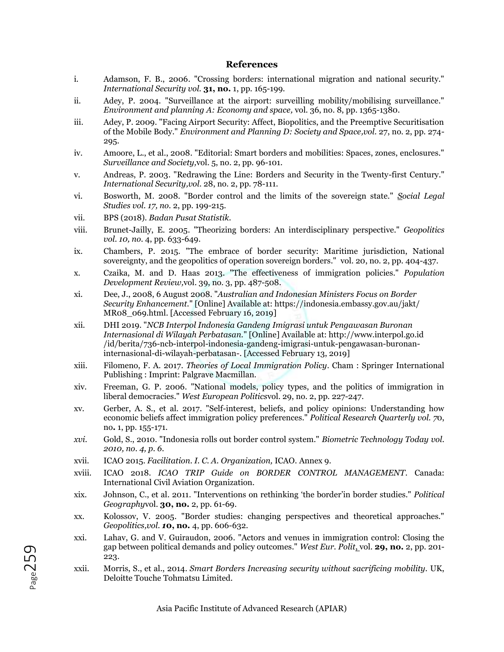#### **References**

- i. Adamson, F. B., 2006. "Crossing borders: international migration and national security." *International Security vol.* **31, no.** 1, pp. 165-199.
- ii. Adey, P. 2004. "Surveillance at the airport: surveilling mobility/mobilising surveillance." *Environment and planning A: Economy and space,* vol. 36, no. 8, pp. 1365-1380.
- iii. Adey, P. 2009. "Facing Airport Security: Affect, Biopolitics, and the Preemptive Securitisation of the Mobile Body." *Environment and Planning D: Society and Space,vol.* 27, no. 2, pp. 274- 295.
- iv. Amoore, L., et al., 2008. "Editorial: Smart borders and mobilities: Spaces, zones, enclosures." *Surveillance and Society,*vol. 5, no. 2, pp. 96-101.
- v. Andreas, P. 2003. "Redrawing the Line: Borders and Security in the Twenty-first Century." *International Security,vol.* 28, no. 2, pp. 78-111.
- vi. Bosworth, M. 2008. "Border control and the limits of the sovereign state." *Social Legal Studies vol. 17, no.* 2, pp. 199-215.
- vii. BPS (2018). *Badan Pusat Statistik.*
- viii. Brunet-Jailly, E. 2005. "Theorizing borders: An interdisciplinary perspective." *Geopolitics vol. 10, no.* 4, pp. 633-649.
- ix. Chambers, P. 2015. "The embrace of border security: Maritime jurisdiction, National sovereignty, and the geopolitics of operation sovereign borders." vol. 20, no. 2, pp. 404-437.
- x. Czaika, M. and D. Haas 2013. "The effectiveness of immigration policies." *Population Development Review,*vol. 39, no. 3, pp. 487-508.
- xi. Dee, J., 2008, 6 August 2008. "*Australian and Indonesian Ministers Focus on Border Security Enhancement.*" [Online] Available at: https://indonesia.embassy.gov.au/jakt/ MR08\_069.html. [Accessed February 16, 2019]
- xii. DHI 2019. "*NCB Interpol Indonesia Gandeng Imigrasi untuk Pengawasan Buronan Internasional di Wilayah Perbatasan.*" [Online] Available at: http://www.interpol.go.id /id/berita/736-ncb-interpol-indonesia-gandeng-imigrasi-untuk-pengawasan-buronaninternasional-di-wilayah-perbatasan-. [Accessed February 13, 2019]
- xiii. Filomeno, F. A. 2017. *Theories of Local Immigration Policy*. Cham : Springer International Publishing : Imprint: Palgrave Macmillan.
- xiv. Freeman, G. P. 2006. "National models, policy types, and the politics of immigration in liberal democracies." *West European Politics*vol. 29, no. 2, pp. 227-247.
- xv. Gerber, A. S., et al. 2017. "Self-interest, beliefs, and policy opinions: Understanding how economic beliefs affect immigration policy preferences." *Political Research Quarterly vol. 7*0, no**.** 1, pp. 155-171.
- *xvi.* Gold, S., 2010. "Indonesia rolls out border control system." *Biometric Technology Today vol. 2010, no. 4, p. 6.*
- xvii. ICAO 2015. *Facilitation. I. C. A. Organization,* ICAO. Annex 9.
- xviii. ICAO 2018. *ICAO TRIP Guide on BORDER CONTROL MANAGEMENT*. Canada: International Civil Aviation Organization.
- xix. Johnson, C., et al. 2011. "Interventions on rethinking 'the border'in border studies." *Political Geography*vol. **30, no.** 2, pp. 61-69.
- xx. Kolossov, V. 2005. "Border studies: changing perspectives and theoretical approaches." *Geopolitics,vol. 1***0, no.** 4, pp. 606-632.
- xxi. Lahav, G. and V. Guiraudon, 2006. "Actors and venues in immigration control: Closing the gap between political demands and policy outcomes." *West Eur. Polit*, vol. **29, no.** 2, pp. 201- 223.
- xxii. Morris, S., et al., 2014. *Smart Borders Increasing security without sacrificing mobility.* UK, Deloitte Touche Tohmatsu Limited.